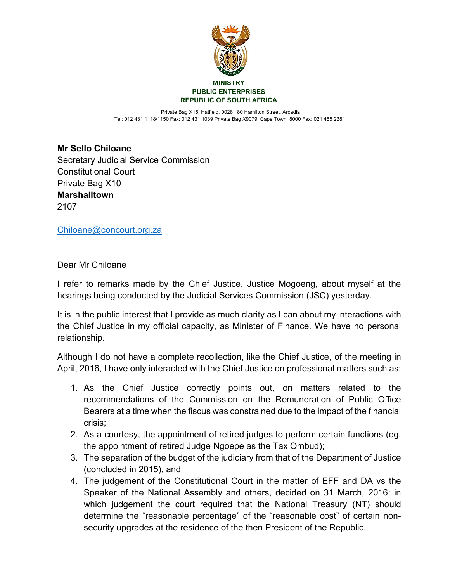

 Private Bag X15, Hatfield, 0028 80 Hamilton Street, Arcadia Tel: 012 431 1118/1150 Fax: 012 431 1039 Private Bag X9079, Cape Town, 8000 Fax: 021 465 2381

**Mr Sello Chiloane** Secretary Judicial Service Commission Constitutional Court Private Bag X10 **Marshalltown** 2107

[Chiloane@concourt.org.za](mailto:Chiloane@concourt.org.za)

Dear Mr Chiloane

I refer to remarks made by the Chief Justice, Justice Mogoeng, about myself at the hearings being conducted by the Judicial Services Commission (JSC) yesterday.

It is in the public interest that I provide as much clarity as I can about my interactions with the Chief Justice in my official capacity, as Minister of Finance. We have no personal relationship.

Although I do not have a complete recollection, like the Chief Justice, of the meeting in April, 2016, I have only interacted with the Chief Justice on professional matters such as:

- 1. As the Chief Justice correctly points out, on matters related to the recommendations of the Commission on the Remuneration of Public Office Bearers at a time when the fiscus was constrained due to the impact of the financial crisis;
- 2. As a courtesy, the appointment of retired judges to perform certain functions (eg. the appointment of retired Judge Ngoepe as the Tax Ombud);
- 3. The separation of the budget of the judiciary from that of the Department of Justice (concluded in 2015), and
- 4. The judgement of the Constitutional Court in the matter of EFF and DA vs the Speaker of the National Assembly and others, decided on 31 March, 2016: in which judgement the court required that the National Treasury (NT) should determine the "reasonable percentage" of the "reasonable cost" of certain nonsecurity upgrades at the residence of the then President of the Republic.